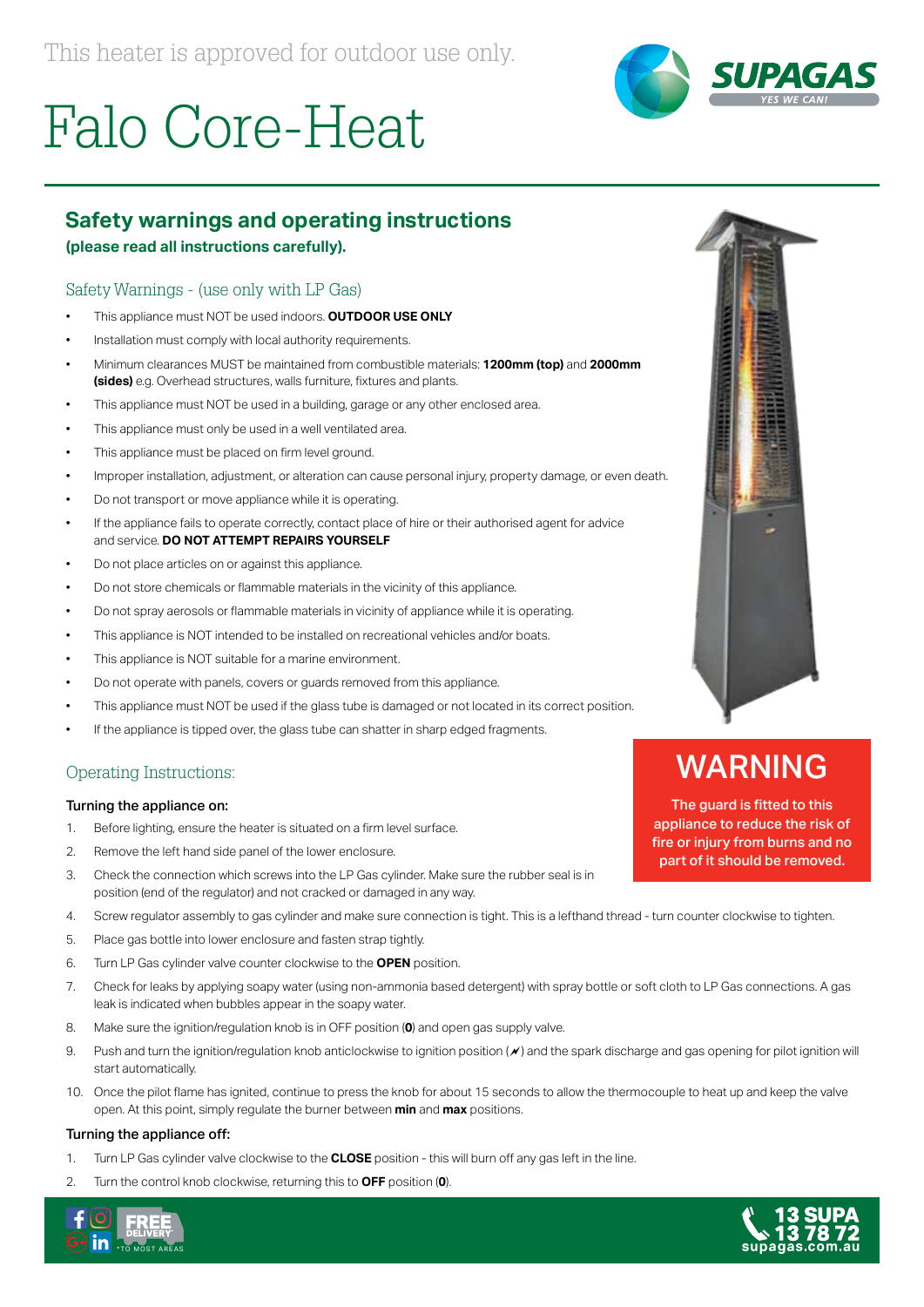



### **Safety warnings and operating instructions**

**(please read all instructions carefully).**

### Safety Warnings - (use only with LP Gas)

- This appliance must NOT be used indoors. **OUTDOOR USE ONLY**
- Installation must comply with local authority requirements.
- Minimum clearances MUST be maintained from combustible materials: **1200mm (top)** and **2000mm (sides)** e.g. Overhead structures, walls furniture, fixtures and plants.
- This appliance must NOT be used in a building, garage or any other enclosed area.
- This appliance must only be used in a well ventilated area.
- This appliance must be placed on firm level ground.
- Improper installation, adjustment, or alteration can cause personal injury, property damage, or even death.
- Do not transport or move appliance while it is operating.
- If the appliance fails to operate correctly, contact place of hire or their authorised agent for advice and service. **DO NOT ATTEMPT REPAIRS YOURSELF**
- Do not place articles on or against this appliance.
- Do not store chemicals or flammable materials in the vicinity of this appliance.
- Do not spray aerosols or flammable materials in vicinity of appliance while it is operating.
- This appliance is NOT intended to be installed on recreational vehicles and/or boats.
- This appliance is NOT suitable for a marine environment.
- Do not operate with panels, covers or guards removed from this appliance.
- This appliance must NOT be used if the glass tube is damaged or not located in its correct position.
- If the appliance is tipped over, the glass tube can shatter in sharp edged fragments.

### Operating Instructions:

### Turning the appliance on:

- 1. Before lighting, ensure the heater is situated on a firm level surface.
- 2. Remove the left hand side panel of the lower enclosure.
- 3. Check the connection which screws into the LP Gas cylinder. Make sure the rubber seal is in position (end of the regulator) and not cracked or damaged in any way.
- 4. Screw regulator assembly to gas cylinder and make sure connection is tight. This is a lefthand thread turn counter clockwise to tighten.
- 5. Place gas bottle into lower enclosure and fasten strap tightly.
- 6. Turn LP Gas cylinder valve counter clockwise to the **OPEN** position.
- 7. Check for leaks by applying soapy water (using non-ammonia based detergent) with spray bottle or soft cloth to LP Gas connections. A gas leak is indicated when bubbles appear in the soapy water.
- 8. Make sure the ignition/regulation knob is in OFF position (**0**) and open gas supply valve.
- 9. Push and turn the ignition/regulation knob anticlockwise to ignition position (x) and the spark discharge and gas opening for pilot ignition will start automatically.
- 10. Once the pilot flame has ignited, continue to press the knob for about 15 seconds to allow the thermocouple to heat up and keep the valve open. At this point, simply regulate the burner between **min** and **max** positions.

### Turning the appliance off:

- 1. Turn LP Gas cylinder valve clockwise to the **CLOSE** position this will burn off any gas left in the line.
- 2. Turn the control knob clockwise, returning this to **OFF** position (**0**).





## WARNING

The guard is fitted to this appliance to reduce the risk of fire or injury from burns and no part of it should be removed.